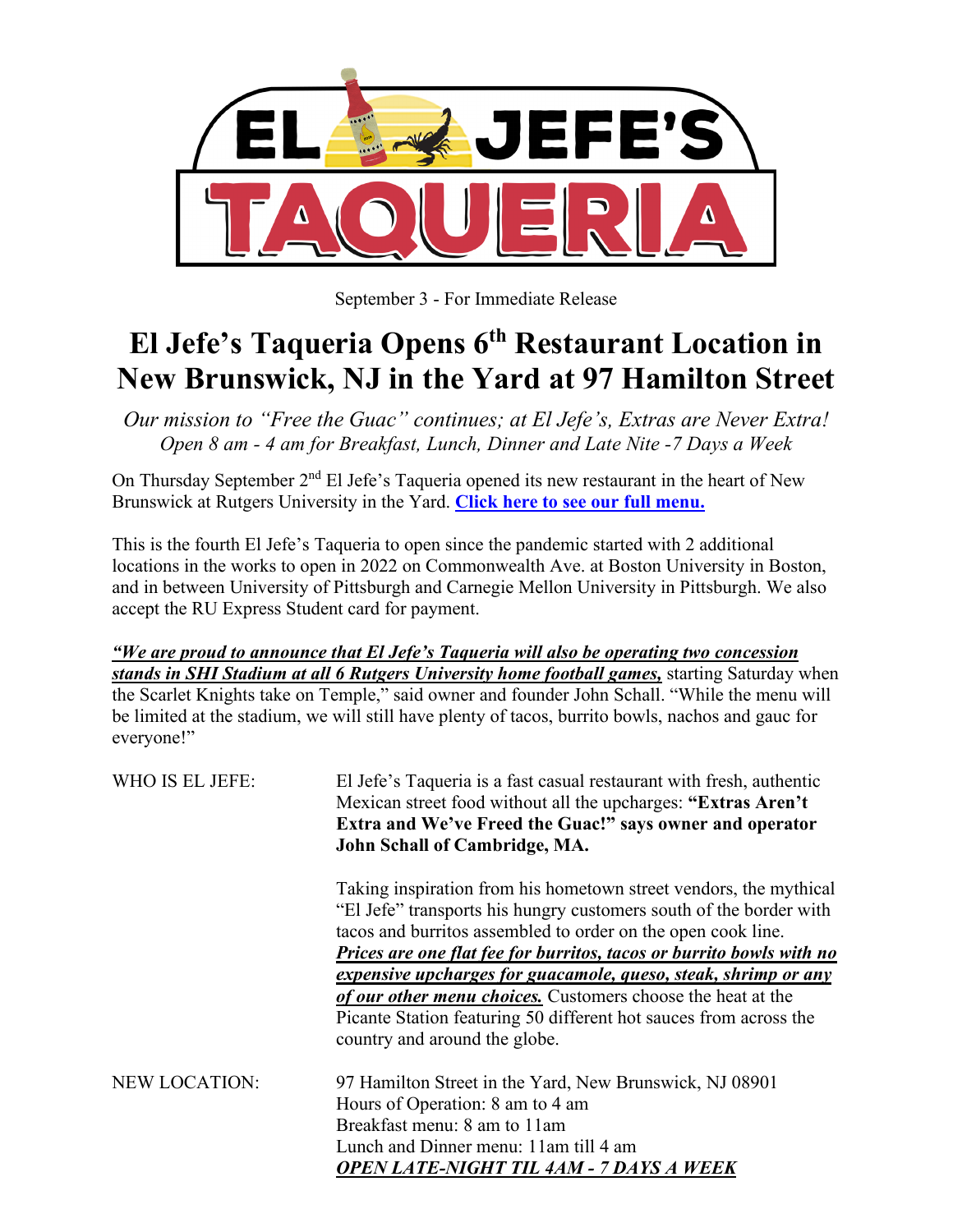

September 3 - For Immediate Release

## **El Jefe's Taqueria Opens 6th Restaurant Location in New Brunswick, NJ in the Yard at 97 Hamilton Street**

*Our mission to "Free the Guac" continues; at El Jefe's, Extras are Never Extra! Open 8 am - 4 am for Breakfast, Lunch, Dinner and Late Nite -7 Days a Week*

On Thursday September 2<sup>nd</sup> El Jefe's Taqueria opened its new restaurant in the heart of New Brunswick at Rutgers University in the Yard. **[Click here to see our full menu.](https://www.eljefestaqueria.com/copy-of-menu)**

This is the fourth El Jefe's Taqueria to open since the pandemic started with 2 additional locations in the works to open in 2022 on Commonwealth Ave. at Boston University in Boston, and in between University of Pittsburgh and Carnegie Mellon University in Pittsburgh. We also accept the RU Express Student card for payment.

*"We are proud to announce that El Jefe's Taqueria will also be operating two concession stands in SHI Stadium at all 6 Rutgers University home football games,* starting Saturday when the Scarlet Knights take on Temple," said owner and founder John Schall. "While the menu will be limited at the stadium, we will still have plenty of tacos, burrito bowls, nachos and gauc for everyone!"

| WHO IS EL JEFE:      | El Jefe's Taqueria is a fast casual restaurant with fresh, authentic<br>Mexican street food without all the upcharges: "Extras Aren't<br>Extra and We've Freed the Guac!" says owner and operator<br>John Schall of Cambridge, MA. |
|----------------------|------------------------------------------------------------------------------------------------------------------------------------------------------------------------------------------------------------------------------------|
|                      | Taking inspiration from his hometown street vendors, the mythical<br>"El Jefe" transports his hungry customers south of the border with<br>tacos and burritos assembled to order on the open cook line.                            |
|                      | Prices are one flat fee for burritos, tacos or burrito bowls with no                                                                                                                                                               |
|                      | expensive upcharges for guacamole, queso, steak, shrimp or any                                                                                                                                                                     |
|                      | of our other menu choices. Customers choose the heat at the<br>Picante Station featuring 50 different hot sauces from across the<br>country and around the globe.                                                                  |
| <b>NEW LOCATION:</b> | 97 Hamilton Street in the Yard, New Brunswick, NJ 08901<br>Hours of Operation: 8 am to 4 am<br>Breakfast menu: 8 am to 11 am<br>Lunch and Dinner menu: 11am till 4 am<br><b>OPEN LATE-NIGHT TIL 4AM - 7 DAYS A WEEK</b>            |